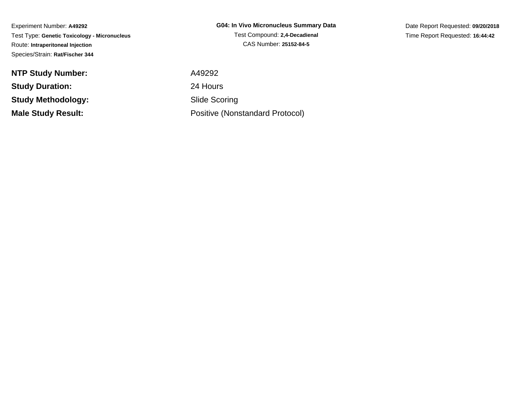Experiment Number: **A49292** Test Type: **Genetic Toxicology - Micronucleus**Route: **Intraperitoneal Injection**Species/Strain: **Rat/Fischer 344**

**NTP Study Number:Study Duration:Study Methodology:Male Study Result:**

**G04: In Vivo Micronucleus Summary Data**Test Compound: **2,4-Decadienal**CAS Number: **25152-84-5**

Date Report Requested: **09/20/2018**Time Report Requested: **16:44:42**

 A49292 24 Hours Slide ScoringPositive (Nonstandard Protocol)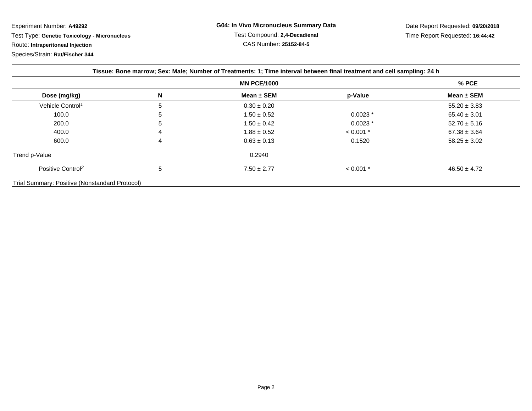Experiment Number: **A49292**

Test Type: **Genetic Toxicology - Micronucleus**

Route: **Intraperitoneal Injection**

Species/Strain: **Rat/Fischer 344**

| Tissue: Bone marrow; Sex: Male; Number of Treatments: 1; Time interval between final treatment and cell sampling: 24 h |   |                 |             |                  |
|------------------------------------------------------------------------------------------------------------------------|---|-----------------|-------------|------------------|
| <b>MN PCE/1000</b>                                                                                                     |   |                 |             | % PCE            |
| Dose (mg/kg)                                                                                                           | N | Mean $\pm$ SEM  | p-Value     | Mean $\pm$ SEM   |
| Vehicle Control <sup>1</sup>                                                                                           | 5 | $0.30 \pm 0.20$ |             | $55.20 \pm 3.83$ |
| 100.0                                                                                                                  | 5 | $1.50 \pm 0.52$ | $0.0023*$   | $65.40 \pm 3.01$ |
| 200.0                                                                                                                  | 5 | $1.50 \pm 0.42$ | $0.0023*$   | $52.70 \pm 5.16$ |
| 400.0                                                                                                                  | 4 | $1.88 \pm 0.52$ | $< 0.001$ * | $67.38 \pm 3.64$ |
| 600.0                                                                                                                  | 4 | $0.63 \pm 0.13$ | 0.1520      | $58.25 \pm 3.02$ |
| Trend p-Value                                                                                                          |   | 0.2940          |             |                  |
| Positive Control <sup>2</sup>                                                                                          | 5 | $7.50 \pm 2.77$ | $< 0.001$ * | $46.50 \pm 4.72$ |
| Trial Summary: Positive (Nonstandard Protocol)                                                                         |   |                 |             |                  |